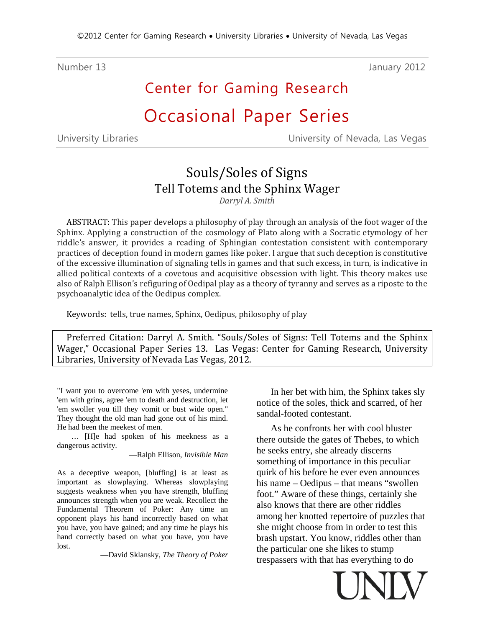Number 13 January 2012

# Center for Gaming Research

# Occasional Paper Series

University Libraries **University of Nevada, Las Vegas** 

# Souls/Soles of Signs Tell Totems and the Sphinx Wager

*Darryl A. Smith*

ABSTRACT: This paper develops a philosophy of play through an analysis of the foot wager of the Sphinx. Applying a construction of the cosmology of Plato along with a Socratic etymology of her riddle's answer, it provides a reading of Sphingian contestation consistent with contemporary practices of deception found in modern games like poker. I argue that such deception is constitutive of the excessive illumination of signaling tells in games and that such excess, in turn, is indicative in allied political contexts of a covetous and acquisitive obsession with light. This theory makes use also of Ralph Ellison's refiguring of Oedipal play as a theory of tyranny and serves as a riposte to the psychoanalytic idea of the Oedipus complex.

Keywords: tells, true names, Sphinx, Oedipus, philosophy of play

Preferred Citation: Darryl A. Smith. "Souls/Soles of Signs: Tell Totems and the Sphinx Wager," Occasional Paper Series 13. Las Vegas: Center for Gaming Research, University Libraries, University of Nevada Las Vegas, 2012.

"I want you to overcome 'em with yeses, undermine 'em with grins, agree 'em to death and destruction, let 'em swoller you till they vomit or bust wide open." They thought the old man had gone out of his mind. He had been the meekest of men.

… [H]e had spoken of his meekness as a dangerous activity.

—Ralph Ellison, *Invisible Man*

As a deceptive weapon, [bluffing] is at least as important as slowplaying. Whereas slowplaying suggests weakness when you have strength, bluffing announces strength when you are weak. Recollect the Fundamental Theorem of Poker: Any time an opponent plays his hand incorrectly based on what you have, you have gained; and any time he plays his hand correctly based on what you have, you have lost.

—David Sklansky, *The Theory of Poker*

In her bet with him, the Sphinx takes sly notice of the soles, thick and scarred, of her sandal-footed contestant.

As he confronts her with cool bluster there outside the gates of Thebes, to which he seeks entry, she already discerns something of importance in this peculiar quirk of his before he ever even announces his name – Oedipus – that means "swollen foot." Aware of these things, certainly she also knows that there are other riddles among her knotted repertoire of puzzles that she might choose from in order to test this brash upstart. You know, riddles other than the particular one she likes to stump trespassers with that has everything to do

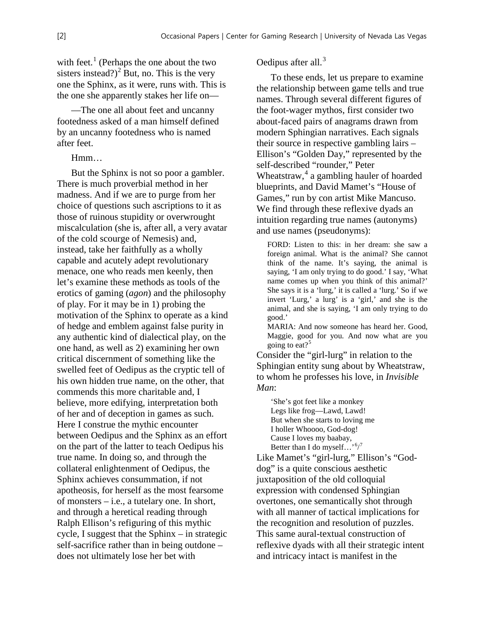with feet.<sup>[1](#page-18-0)</sup> (Perhaps the one about the two sisters instead?)<sup>[2](#page-18-1)</sup> But, no. This is the very one the Sphinx, as it were, runs with. This is the one she apparently stakes her life on—

—The one all about feet and uncanny footedness asked of a man himself defined by an uncanny footedness who is named after feet.

Hmm…

But the Sphinx is not so poor a gambler. There is much proverbial method in her madness. And if we are to purge from her choice of questions such ascriptions to it as those of ruinous stupidity or overwrought miscalculation (she is, after all, a very avatar of the cold scourge of Nemesis) and, instead, take her faithfully as a wholly capable and acutely adept revolutionary menace, one who reads men keenly, then let's examine these methods as tools of the erotics of gaming (*agon*) and the philosophy of play. For it may be in 1) probing the motivation of the Sphinx to operate as a kind of hedge and emblem against false purity in any authentic kind of dialectical play, on the one hand, as well as 2) examining her own critical discernment of something like the swelled feet of Oedipus as the cryptic tell of his own hidden true name, on the other, that commends this more charitable and, I believe, more edifying, interpretation both of her and of deception in games as such. Here I construe the mythic encounter between Oedipus and the Sphinx as an effort on the part of the latter to teach Oedipus his true name. In doing so, and through the collateral enlightenment of Oedipus, the Sphinx achieves consummation, if not apotheosis, for herself as the most fearsome of monsters – i.e., a tutelary one. In short, and through a heretical reading through Ralph Ellison's refiguring of this mythic cycle, I suggest that the Sphinx – in strategic self-sacrifice rather than in being outdone – does not ultimately lose her bet with

Oedipus after all.<sup>[3](#page-19-0)</sup>

To these ends, let us prepare to examine the relationship between game tells and true names. Through several different figures of the foot-wager mythos, first consider two about-faced pairs of anagrams drawn from modern Sphingian narratives. Each signals their source in respective gambling lairs – Ellison's "Golden Day," represented by the self-described "rounder," Peter Wheatstraw, $4$  a gambling hauler of hoarded blueprints, and David Mamet's "House of Games," run by con artist Mike Mancuso. We find through these reflexive dyads an intuition regarding true names (autonyms) and use names (pseudonyms):

FORD: Listen to this: in her dream: she saw a foreign animal. What is the animal? She cannot think of the name. It's saying, the animal is saying, 'I am only trying to do good.' I say, 'What name comes up when you think of this animal?' She says it is a 'lurg,' it is called a 'lurg.' So if we invert 'Lurg,' a lurg' is a 'girl,' and she is the animal, and she is saying, 'I am only trying to do good.'

MARIA: And now someone has heard her. Good, Maggie, good for you. And now what are you going to eat? $5$ 

Consider the "girl-lurg" in relation to the Sphingian entity sung about by Wheatstraw, to whom he professes his love, in *Invisible Man*:

'She's got feet like a monkey Legs like frog—Lawd, Lawd! But when she starts to loving me I holler Whoooo, God-dog! Cause I loves my baabay, Better than I do myself...' $^{6/7}$  $^{6/7}$  $^{6/7}$  $^{6/7}$  $^{6/7}$ 

Like Mamet's "girl-lurg," Ellison's "Goddog" is a quite conscious aesthetic juxtaposition of the old colloquial expression with condensed Sphingian overtones, one semantically shot through with all manner of tactical implications for the recognition and resolution of puzzles. This same aural-textual construction of reflexive dyads with all their strategic intent and intricacy intact is manifest in the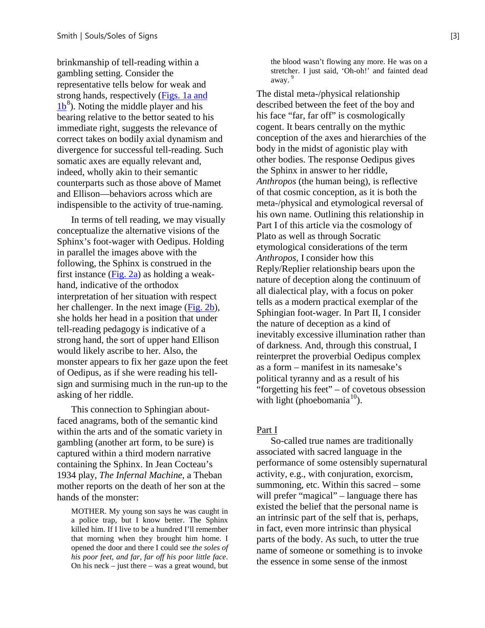brinkmanship of tell-reading within a gambling setting. Consider the representative tells below for weak and strong hands, respectively [\(Figs. 1a and](#page-10-0)   $1b<sup>8</sup>$  $1b<sup>8</sup>$  $1b<sup>8</sup>$  $1b<sup>8</sup>$ ). Noting the middle player and his bearing relative to the bettor seated to his immediate right, suggests the relevance of correct takes on bodily axial dynamism and divergence for successful tell-reading. Such somatic axes are equally relevant and, indeed, wholly akin to their semantic counterparts such as those above of Mamet and Ellison—behaviors across which are indispensible to the activity of true-naming.

In terms of tell reading, we may visually conceptualize the alternative visions of the Sphinx's foot-wager with Oedipus. Holding in parallel the images above with the following, the Sphinx is construed in the first instance  $(Fig. 2a)$  as holding a weakhand, indicative of the orthodox interpretation of her situation with respect her challenger. In the next image [\(Fig. 2b\)](#page-12-0), she holds her head in a position that under tell-reading pedagogy is indicative of a strong hand, the sort of upper hand Ellison would likely ascribe to her. Also, the monster appears to fix her gaze upon the feet of Oedipus, as if she were reading his tellsign and surmising much in the run-up to the asking of her riddle.

This connection to Sphingian aboutfaced anagrams, both of the semantic kind within the arts and of the somatic variety in gambling (another art form, to be sure) is captured within a third modern narrative containing the Sphinx. In Jean Cocteau's 1934 play, *The Infernal Machine*, a Theban mother reports on the death of her son at the hands of the monster:

MOTHER. My young son says he was caught in a police trap, but I know better. The Sphinx killed him. If I live to be a hundred I'll remember that morning when they brought him home. I opened the door and there I could see *the soles of his poor feet, and far, far off his poor little face*. On his neck – just there – was a great wound, but

the blood wasn't flowing any more. He was on a stretcher. I just said, 'Oh-oh!' and fainted dead away. [9](#page-19-6)

The distal meta-/physical relationship described between the feet of the boy and his face "far, far off" is cosmologically cogent. It bears centrally on the mythic conception of the axes and hierarchies of the body in the midst of agonistic play with other bodies. The response Oedipus gives the Sphinx in answer to her riddle, *Anthropos* (the human being), is reflective of that cosmic conception, as it is both the meta-/physical and etymological reversal of his own name. Outlining this relationship in Part I of this article via the cosmology of Plato as well as through Socratic etymological considerations of the term *Anthropos*, I consider how this Reply/Replier relationship bears upon the nature of deception along the continuum of all dialectical play, with a focus on poker tells as a modern practical exemplar of the Sphingian foot-wager. In Part II, I consider the nature of deception as a kind of inevitably excessive illumination rather than of darkness. And, through this construal, I reinterpret the proverbial Oedipus complex as a form – manifest in its namesake's political tyranny and as a result of his "forgetting his feet" – of covetous obsession with light (phoebomania $10$ ).

#### Part I

So-called true names are traditionally associated with sacred language in the performance of some ostensibly supernatural activity, e.g., with conjuration, exorcism, summoning, etc. Within this sacred – some will prefer "magical" – language there has existed the belief that the personal name is an intrinsic part of the self that is, perhaps, in fact, even more intrinsic than physical parts of the body. As such, to utter the true name of someone or something is to invoke the essence in some sense of the inmost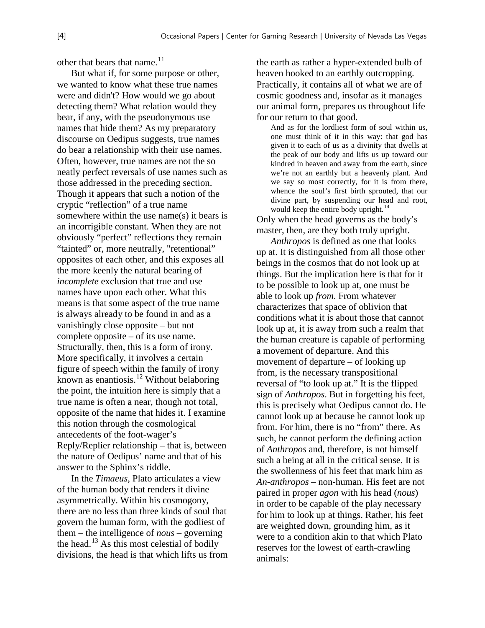other that bears that name.<sup>[11](#page-19-8)</sup>

But what if, for some purpose or other, we wanted to know what these true names were and didn't? How would we go about detecting them? What relation would they bear, if any, with the pseudonymous use names that hide them? As my preparatory discourse on Oedipus suggests, true names do bear a relationship with their use names. Often, however, true names are not the so neatly perfect reversals of use names such as those addressed in the preceding section. Though it appears that such a notion of the cryptic "reflection" of a true name somewhere within the use name(s) it bears is an incorrigible constant. When they are not obviously "perfect" reflections they remain "tainted" or, more neutrally, "retentional" opposites of each other, and this exposes all the more keenly the natural bearing of *incomplete* exclusion that true and use names have upon each other. What this means is that some aspect of the true name is always already to be found in and as a vanishingly close opposite – but not complete opposite – of its use name. Structurally, then, this is a form of irony. More specifically, it involves a certain figure of speech within the family of irony known as enantiosis.<sup>[12](#page-19-9)</sup> Without belaboring the point, the intuition here is simply that a true name is often a near, though not total, opposite of the name that hides it. I examine this notion through the cosmological antecedents of the foot-wager's Reply/Replier relationship – that is, between the nature of Oedipus' name and that of his answer to the Sphinx's riddle.

In the *Timaeus*, Plato articulates a view of the human body that renders it divine asymmetrically. Within his cosmogony, there are no less than three kinds of soul that govern the human form, with the godliest of them – the intelligence of *nous* – governing the head.<sup>[13](#page-19-10)</sup> As this most celestial of bodily divisions, the head is that which lifts us from the earth as rather a hyper-extended bulb of heaven hooked to an earthly outcropping. Practically, it contains all of what we are of cosmic goodness and, insofar as it manages our animal form, prepares us throughout life for our return to that good.

And as for the lordliest form of soul within us, one must think of it in this way: that god has given it to each of us as a divinity that dwells at the peak of our body and lifts us up toward our kindred in heaven and away from the earth, since we're not an earthly but a heavenly plant. And we say so most correctly, for it is from there, whence the soul's first birth sprouted, that our divine part, by suspending our head and root, would keep the entire body upright.<sup>[14](#page-19-11)</sup>

Only when the head governs as the body's master, then, are they both truly upright.

*Anthropos* is defined as one that looks up at. It is distinguished from all those other beings in the cosmos that do not look up at things. But the implication here is that for it to be possible to look up at, one must be able to look up *from*. From whatever characterizes that space of oblivion that conditions what it is about those that cannot look up at, it is away from such a realm that the human creature is capable of performing a movement of departure. And this movement of departure – of looking up from, is the necessary transpositional reversal of "to look up at." It is the flipped sign of *Anthropos*. But in forgetting his feet, this is precisely what Oedipus cannot do. He cannot look up at because he cannot look up from. For him, there is no "from" there. As such, he cannot perform the defining action of *Anthropos* and, therefore, is not himself such a being at all in the critical sense. It is the swollenness of his feet that mark him as *An-anthropos* – non-human. His feet are not paired in proper *agon* with his head (*nous*) in order to be capable of the play necessary for him to look up at things. Rather, his feet are weighted down, grounding him, as it were to a condition akin to that which Plato reserves for the lowest of earth-crawling animals: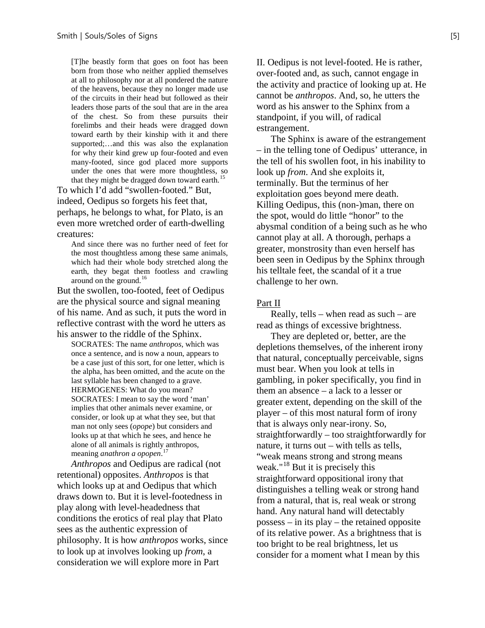[T]he beastly form that goes on foot has been born from those who neither applied themselves at all to philosophy nor at all pondered the nature of the heavens, because they no longer made use of the circuits in their head but followed as their leaders those parts of the soul that are in the area of the chest. So from these pursuits their forelimbs and their heads were dragged down toward earth by their kinship with it and there supported;…and this was also the explanation for why their kind grew up four-footed and even many-footed, since god placed more supports under the ones that were more thoughtless, so that they might be dragged down toward earth.<sup>[15](#page-19-12)</sup>

To which I'd add "swollen-footed." But, indeed, Oedipus so forgets his feet that, perhaps, he belongs to what, for Plato, is an even more wretched order of earth-dwelling creatures:

And since there was no further need of feet for the most thoughtless among these same animals, which had their whole body stretched along the earth, they begat them footless and crawling around on the ground.<sup>[16](#page-19-13)</sup>

But the swollen, too-footed, feet of Oedipus are the physical source and signal meaning of his name. And as such, it puts the word in reflective contrast with the word he utters as his answer to the riddle of the Sphinx.

SOCRATES: The name *anthropos*, which was once a sentence, and is now a noun, appears to be a case just of this sort, for one letter, which is the alpha, has been omitted, and the acute on the last syllable has been changed to a grave. HERMOGENES: What do you mean? SOCRATES: I mean to say the word 'man' implies that other animals never examine, or consider, or look up at what they see, but that man not only sees (*opope*) but considers and looks up at that which he sees, and hence he alone of all animals is rightly anthropos, meaning *anathron a opopen*. [17](#page-19-14)

*Anthropos* and Oedipus are radical (not retentional) opposites. *Anthropos* is that which looks up at and Oedipus that which draws down to. But it is level-footedness in play along with level-headedness that conditions the erotics of real play that Plato sees as the authentic expression of philosophy. It is how *anthropos* works, since to look up at involves looking up *from*, a consideration we will explore more in Part

II. Oedipus is not level-footed. He is rather, over-footed and, as such, cannot engage in the activity and practice of looking up at. He cannot be *anthropos*. And, so, he utters the word as his answer to the Sphinx from a standpoint, if you will, of radical estrangement.

The Sphinx is aware of the estrangement – in the telling tone of Oedipus' utterance, in the tell of his swollen foot, in his inability to look up *from*. And she exploits it, terminally. But the terminus of her exploitation goes beyond mere death. Killing Oedipus, this (non-)man, there on the spot, would do little "honor" to the abysmal condition of a being such as he who cannot play at all. A thorough, perhaps a greater, monstrosity than even herself has been seen in Oedipus by the Sphinx through his telltale feet, the scandal of it a true challenge to her own.

#### Part II

Really, tells – when read as such – are read as things of excessive brightness.

They are depleted or, better, are the depletions themselves, of the inherent irony that natural, conceptually perceivable, signs must bear. When you look at tells in gambling, in poker specifically, you find in them an absence – a lack to a lesser or greater extent, depending on the skill of the player – of this most natural form of irony that is always only near-irony. So, straightforwardly – too straightforwardly for nature, it turns out – with tells as tells, "weak means strong and strong means weak."<sup>[18](#page-19-15)</sup> But it is precisely this straightforward oppositional irony that distinguishes a telling weak or strong hand from a natural, that is, real weak or strong hand. Any natural hand will detectably possess – in its play – the retained opposite of its relative power. As a brightness that is too bright to be real brightness, let us consider for a moment what I mean by this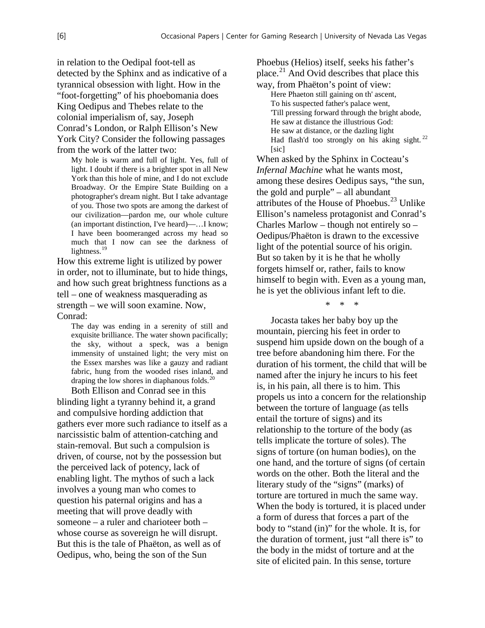in relation to the Oedipal foot-tell as detected by the Sphinx and as indicative of a tyrannical obsession with light. How in the "foot-forgetting" of his phoebomania does King Oedipus and Thebes relate to the colonial imperialism of, say, Joseph Conrad's London, or Ralph Ellison's New York City? Consider the following passages from the work of the latter two:

My hole is warm and full of light. Yes, full of light. I doubt if there is a brighter spot in all New York than this hole of mine, and I do not exclude Broadway. Or the Empire State Building on a photographer's dream night. But I take advantage of you. Those two spots are among the darkest of our civilization—pardon me, our whole culture (an important distinction, I've heard)—…I know; I have been boomeranged across my head so much that I now can see the darkness of lightness.<sup>[19](#page-19-16)</sup>

How this extreme light is utilized by power in order, not to illuminate, but to hide things, and how such great brightness functions as a tell – one of weakness masquerading as strength – we will soon examine. Now, Conrad:

The day was ending in a serenity of still and exquisite brilliance. The water shown pacifically; the sky, without a speck, was a benign immensity of unstained light; the very mist on the Essex marshes was like a gauzy and radiant fabric, hung from the wooded rises inland, and draping the low shores in diaphanous folds. $^{20}$  $^{20}$  $^{20}$ Both Ellison and Conrad see in this

blinding light a tyranny behind it, a grand and compulsive hording addiction that gathers ever more such radiance to itself as a narcissistic balm of attention-catching and stain-removal. But such a compulsion is driven, of course, not by the possession but the perceived lack of potency, lack of enabling light. The mythos of such a lack involves a young man who comes to question his paternal origins and has a meeting that will prove deadly with someone – a ruler and charioteer both – whose course as sovereign he will disrupt. But this is the tale of Phaëton, as well as of Oedipus, who, being the son of the Sun

Phoebus (Helios) itself, seeks his father's place.<sup>[21](#page-19-18)</sup> And Ovid describes that place this way, from Phaëton's point of view:

Here Phaeton still gaining on th' ascent, To his suspected father's palace went, 'Till pressing forward through the bright abode, He saw at distance the illustrious God: He saw at distance, or the dazling light Had flash'd too strongly on his aking sight.<sup>[22](#page-19-19)</sup> [sic]

When asked by the Sphinx in Cocteau's *Infernal Machine* what he wants most, among these desires Oedipus says, "the sun, the gold and purple" – all abundant attributes of the House of Phoebus. $^{23}$  $^{23}$  $^{23}$  Unlike Ellison's nameless protagonist and Conrad's Charles Marlow – though not entirely so – Oedipus/Phaëton is drawn to the excessive light of the potential source of his origin. But so taken by it is he that he wholly forgets himself or, rather, fails to know himself to begin with. Even as a young man, he is yet the oblivious infant left to die.

\* \* \*

Jocasta takes her baby boy up the mountain, piercing his feet in order to suspend him upside down on the bough of a tree before abandoning him there. For the duration of his torment, the child that will be named after the injury he incurs to his feet is, in his pain, all there is to him. This propels us into a concern for the relationship between the torture of language (as tells entail the torture of signs) and its relationship to the torture of the body (as tells implicate the torture of soles). The signs of torture (on human bodies), on the one hand, and the torture of signs (of certain words on the other. Both the literal and the literary study of the "signs" (marks) of torture are tortured in much the same way. When the body is tortured, it is placed under a form of duress that forces a part of the body to "stand (in)" for the whole. It is, for the duration of torment, just "all there is" to the body in the midst of torture and at the site of elicited pain. In this sense, torture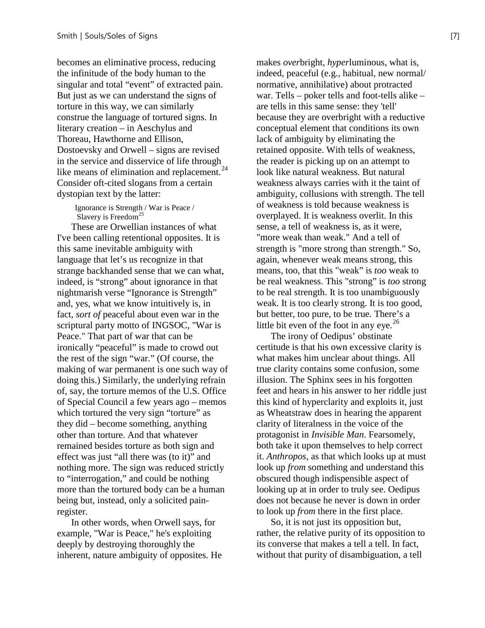becomes an eliminative process, reducing the infinitude of the body human to the singular and total "event" of extracted pain. But just as we can understand the signs of torture in this way, we can similarly construe the language of tortured signs. In literary creation – in Aeschylus and Thoreau, Hawthorne and Ellison, Dostoevsky and Orwell – signs are revised in the service and disservice of life through like means of elimination and replacement. $24$ Consider oft-cited slogans from a certain dystopian text by the latter:

> Ignorance is Strength / War is Peace / Slavery is Freedom<sup>[25](#page-19-22)</sup>

These are Orwellian instances of what I've been calling retentional opposites. It is this same inevitable ambiguity with language that let's us recognize in that strange backhanded sense that we can what, indeed, is "strong" about ignorance in that nightmarish verse "Ignorance is Strength" and, yes, what we know intuitively is, in fact, *sort of* peaceful about even war in the scriptural party motto of INGSOC, "War is Peace." That part of war that can be ironically "peaceful" is made to crowd out the rest of the sign "war." (Of course, the making of war permanent is one such way of doing this.) Similarly, the underlying refrain of, say, the torture memos of the U.S. Office of Special Council a few years ago – memos which tortured the very sign "torture" as they did – become something, anything other than torture. And that whatever remained besides torture as both sign and effect was just "all there was (to it)" and nothing more. The sign was reduced strictly to "interrogation," and could be nothing more than the tortured body can be a human being but, instead, only a solicited painregister.

In other words, when Orwell says, for example, "War is Peace," he's exploiting deeply by destroying thoroughly the inherent, nature ambiguity of opposites. He makes *over*bright, *hyper*luminous, what is, indeed, peaceful (e.g., habitual, new normal/ normative, annihilative) about protracted war. Tells – poker tells and foot-tells alike – are tells in this same sense: they 'tell' because they are overbright with a reductive conceptual element that conditions its own lack of ambiguity by eliminating the retained opposite. With tells of weakness, the reader is picking up on an attempt to look like natural weakness. But natural weakness always carries with it the taint of ambiguity, collusions with strength. The tell of weakness is told because weakness is overplayed. It is weakness overlit. In this sense, a tell of weakness is, as it were, "more weak than weak." And a tell of strength is "more strong than strength." So, again, whenever weak means strong, this means, too, that this "weak" is *too* weak to be real weakness. This "strong" is *too* strong to be real strength. It is too unambiguously weak. It is too clearly strong. It is too good, but better, too pure, to be true. There's a little bit even of the foot in any eye.<sup>[26](#page-19-23)</sup>

The irony of Oedipus' obstinate certitude is that his own excessive clarity is what makes him unclear about things. All true clarity contains some confusion, some illusion. The Sphinx sees in his forgotten feet and hears in his answer to her riddle just this kind of hyperclarity and exploits it, just as Wheatstraw does in hearing the apparent clarity of literalness in the voice of the protagonist in *Invisible Man*. Fearsomely, both take it upon themselves to help correct it. *Anthropos*, as that which looks up at must look up *from* something and understand this obscured though indispensible aspect of looking up at in order to truly see. Oedipus does not because he never is down in order to look up *from* there in the first place.

So, it is not just its opposition but, rather, the relative purity of its opposition to its converse that makes a tell a tell. In fact, without that purity of disambiguation, a tell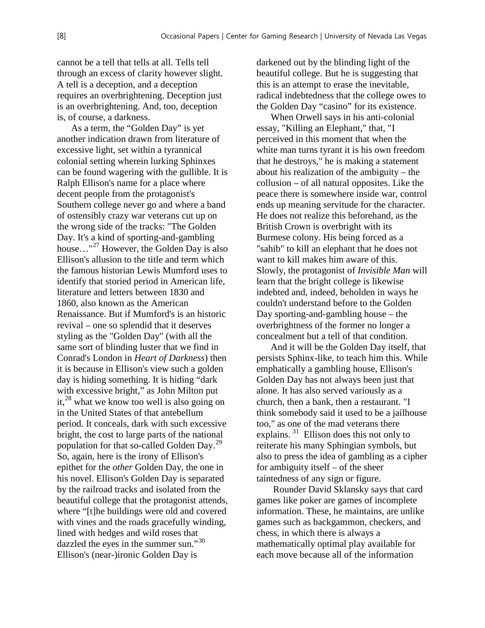cannot be a tell that tells at all. Tells tell through an excess of clarity however slight. A tell is a deception, and a deception requires an overbrightening. Deception just is an overbrightening. And, too, deception is, of course, a darkness.

As a term, the "Golden Day" is yet another indication drawn from literature of excessive light, set within a tyrannical colonial setting wherein lurking Sphinxes can be found wagering with the gullible. It is Ralph Ellison's name for a place where decent people from the protagonist's Southern college never go and where a band of ostensibly crazy war veterans cut up on the wrong side of the tracks: "The Golden Day. It's a kind of sporting-and-gambling house..."<sup>[27](#page-19-24)</sup> However, the Golden Day is also Ellison's allusion to the title and term which the famous historian Lewis Mumford uses to identify that storied period in American life, literature and letters between 1830 and 1860, also known as the American Renaissance. But if Mumford's is an historic revival – one so splendid that it deserves styling as the "Golden Day" (with all the same sort of blinding luster that we find in Conrad's London in *Heart of Darkness*) then it is because in Ellison's view such a golden day is hiding something. It is hiding "dark with excessive bright," as John Milton put it, $^{28}$  $^{28}$  $^{28}$  what we know too well is also going on in the United States of that antebellum period. It conceals, dark with such excessive bright, the cost to large parts of the national population for that so-called Golden Day.[29](#page-19-26) So, again, here is the irony of Ellison's epithet for the *other* Golden Day, the one in his novel. Ellison's Golden Day is separated by the railroad tracks and isolated from the beautiful college that the protagonist attends, where "[t]he buildings were old and covered with vines and the roads gracefully winding, lined with hedges and wild roses that dazzled the eyes in the summer sun."[30](#page-19-27) Ellison's (near-)ironic Golden Day is

darkened out by the blinding light of the beautiful college. But he is suggesting that this is an attempt to erase the inevitable, radical indebtedness that the college owes to the Golden Day "casino" for its existence.

When Orwell says in his anti-colonial essay, "Killing an Elephant," that, "I perceived in this moment that when the white man turns tyrant it is his own freedom that he destroys," he is making a statement about his realization of the ambiguity – the collusion – of all natural opposites. Like the peace there is somewhere inside war, control ends up meaning servitude for the character. He does not realize this beforehand, as the British Crown is overbright with its Burmese colony. His being forced as a "sahib" to kill an elephant that he does not want to kill makes him aware of this. Slowly, the protagonist of *Invisible Man* will learn that the bright college is likewise indebted and, indeed, beholden in ways he couldn't understand before to the Golden Day sporting-and-gambling house – the overbrightness of the former no longer a concealment but a tell of that condition.

And it will be the Golden Day itself, that persists Sphinx-like, to teach him this. While emphatically a gambling house, Ellison's Golden Day has not always been just that alone. It has also served variously as a church, then a bank, then a restaurant. "I think somebody said it used to be a jailhouse too," as one of the mad veterans there explains.  $31$  Ellison does this not only to reiterate his many Sphingian symbols, but also to press the idea of gambling as a cipher for ambiguity itself – of the sheer taintedness of any sign or figure.

Rounder David Sklansky says that card games like poker are games of incomplete information. These, he maintains, are unlike games such as backgammon, checkers, and chess, in which there is always a mathematically optimal play available for each move because all of the information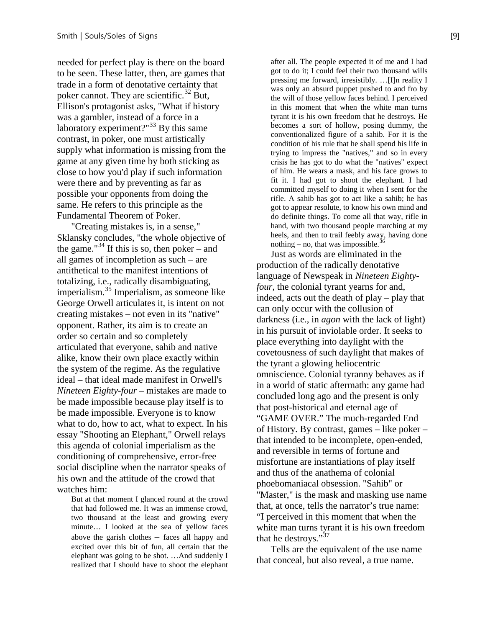needed for perfect play is there on the board to be seen. These latter, then, are games that trade in a form of denotative certainty that poker cannot. They are scientific.<sup>[32](#page-19-29)</sup> But, Ellison's protagonist asks, "What if history was a gambler, instead of a force in a laboratory experiment?"<sup>[33](#page-19-30)</sup> By this same contrast, in poker, one must artistically supply what information is missing from the game at any given time by both sticking as close to how you'd play if such information were there and by preventing as far as possible your opponents from doing the same. He refers to this principle as the Fundamental Theorem of Poker.

"Creating mistakes is, in a sense," Sklansky concludes, "the whole objective of the game."<sup>[34](#page-19-31)</sup> If this is so, then poker – and all games of incompletion as such – are antithetical to the manifest intentions of totalizing, i.e., radically disambiguating, imperialism. [35](#page-19-32) Imperialism, as someone like George Orwell articulates it, is intent on not creating mistakes – not even in its "native" opponent. Rather, its aim is to create an order so certain and so completely articulated that everyone, sahib and native alike, know their own place exactly within the system of the regime. As the regulative ideal – that ideal made manifest in Orwell's *Nineteen Eighty-four* – mistakes are made to be made impossible because play itself is to be made impossible. Everyone is to know what to do, how to act, what to expect. In his essay "Shooting an Elephant," Orwell relays this agenda of colonial imperialism as the conditioning of comprehensive, error-free social discipline when the narrator speaks of his own and the attitude of the crowd that watches him:

But at that moment I glanced round at the crowd that had followed me. It was an immense crowd, two thousand at the least and growing every minute… I looked at the sea of yellow faces above the garish clothes – faces all happy and excited over this bit of fun, all certain that the elephant was going to be shot. …And suddenly I realized that I should have to shoot the elephant

after all. The people expected it of me and I had got to do it; I could feel their two thousand wills pressing me forward, irresistibly. …[I]n reality I was only an absurd puppet pushed to and fro by the will of those yellow faces behind. I perceived in this moment that when the white man turns tyrant it is his own freedom that he destroys. He becomes a sort of hollow, posing dummy, the conventionalized figure of a sahib. For it is the condition of his rule that he shall spend his life in trying to impress the "natives," and so in every crisis he has got to do what the "natives" expect of him. He wears a mask, and his face grows to fit it. I had got to shoot the elephant. I had committed myself to doing it when I sent for the rifle. A sahib has got to act like a sahib; he has got to appear resolute, to know his own mind and do definite things. To come all that way, rifle in hand, with two thousand people marching at my heels, and then to trail feebly away, having done nothing – no, that was impossible.<sup>[36](#page-19-6)</sup>

Just as words are eliminated in the production of the radically denotative language of Newspeak in *Nineteen Eightyfour*, the colonial tyrant yearns for and, indeed, acts out the death of play – play that can only occur with the collusion of darkness (i.e., in *agon* with the lack of light) in his pursuit of inviolable order. It seeks to place everything into daylight with the covetousness of such daylight that makes of the tyrant a glowing heliocentric omniscience. Colonial tyranny behaves as if in a world of static aftermath: any game had concluded long ago and the present is only that post-historical and eternal age of "GAME OVER." The much-regarded End of History. By contrast, games – like poker – that intended to be incomplete, open-ended, and reversible in terms of fortune and misfortune are instantiations of play itself and thus of the anathema of colonial phoebomaniacal obsession. "Sahib" or "Master," is the mask and masking use name that, at once, tells the narrator's true name: "I perceived in this moment that when the white man turns tyrant it is his own freedom that he destroys."<sup>[37](#page-19-7)</sup>

Tells are the equivalent of the use name that conceal, but also reveal, a true name.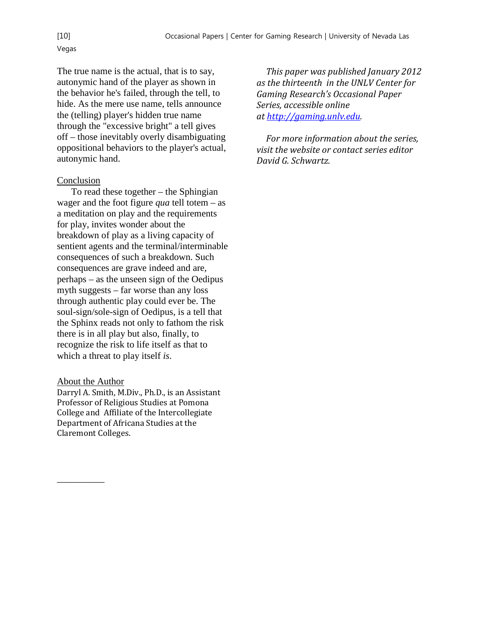The true name is the actual, that is to say, autonymic hand of the player as shown in the behavior he's failed, through the tell, to hide. As the mere use name, tells announce the (telling) player's hidden true name through the "excessive bright" a tell gives off – those inevitably overly disambiguating oppositional behaviors to the player's actual, autonymic hand.

## Conclusion

To read these together – the Sphingian wager and the foot figure *qua* tell totem – as a meditation on play and the requirements for play, invites wonder about the breakdown of play as a living capacity of sentient agents and the terminal/interminable consequences of such a breakdown. Such consequences are grave indeed and are, perhaps – as the unseen sign of the Oedipus myth suggests – far worse than any loss through authentic play could ever be. The soul-sign/sole-sign of Oedipus, is a tell that the Sphinx reads not only to fathom the risk there is in all play but also, finally, to recognize the risk to life itself as that to which a threat to play itself *is*.

## About the Author

\_\_\_\_\_\_\_\_\_\_

Darryl A. Smith, M.Div., Ph.D., is an Assistant Professor of Religious Studies at Pomona College and Affiliate of the Intercollegiate Department of Africana Studies at the Claremont Colleges.

*This paper was published January 2012 as the thirteenth in the UNLV Center for Gaming Research's Occasional Paper Series, accessible online at [http://gaming.unlv.edu.](http://gaming.unlv.edu/)*

*For more information about the series, visit the website or contact series editor David G. Schwartz.*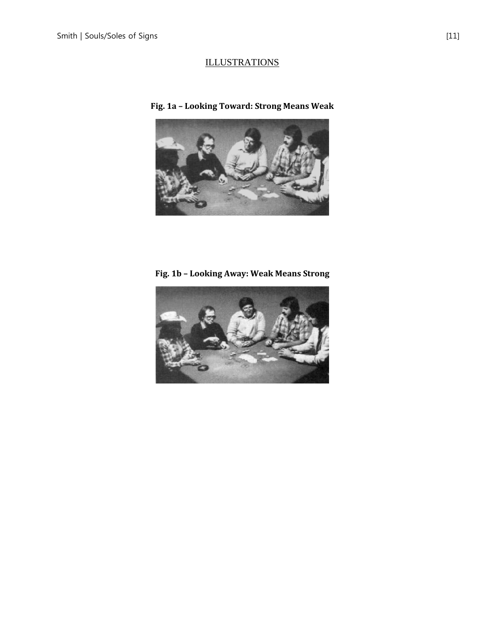# **ILLUSTRATIONS**

# **Fig. 1a – Looking Toward: Strong Means Weak**

<span id="page-10-0"></span>

**Fig. 1b – Looking Away: Weak Means Strong**

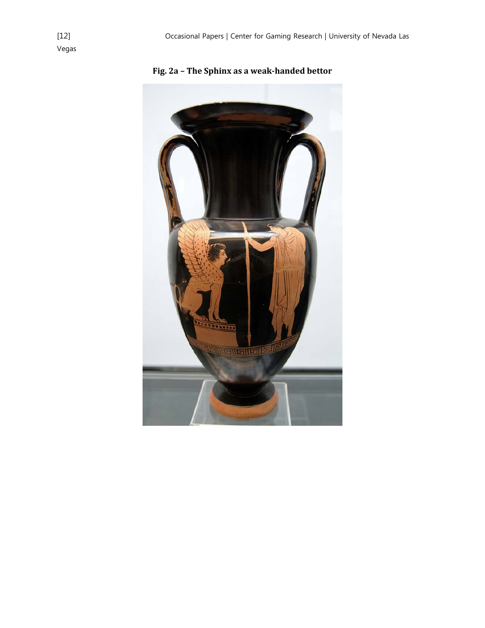<span id="page-11-0"></span>

**Fig. 2a – The Sphinx as a weak-handed bettor**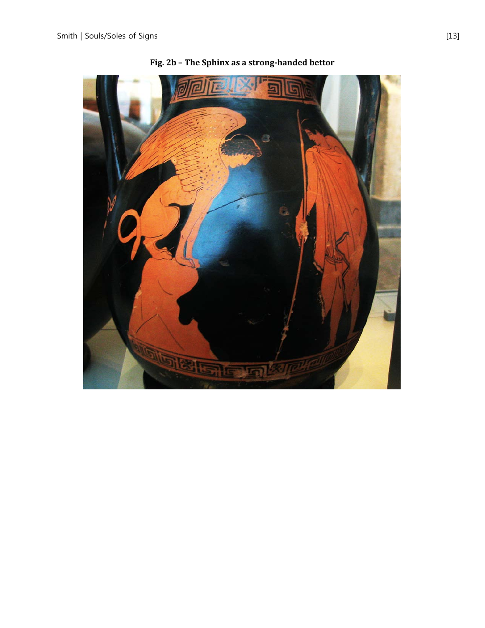<span id="page-12-0"></span>

**Fig. 2b – The Sphinx as a strong-handed bettor**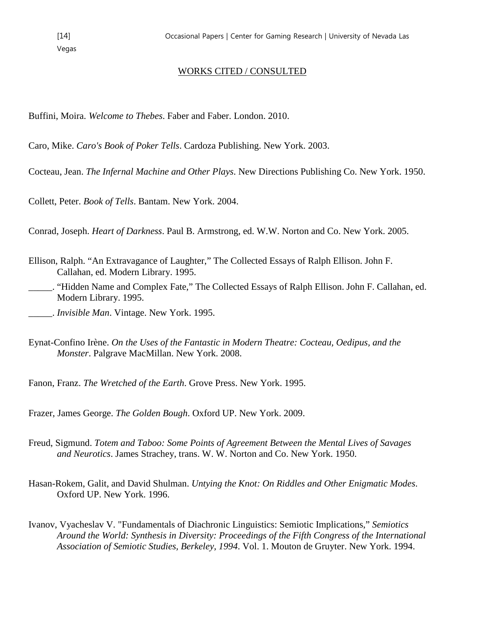WORKS CITED / CONSULTED

Buffini, Moira. *Welcome to Thebes*. Faber and Faber. London. 2010.

Caro, Mike. *Caro's Book of Poker Tells*. Cardoza Publishing. New York. 2003.

Cocteau, Jean. *The Infernal Machine and Other Plays*. New Directions Publishing Co. New York. 1950.

Collett, Peter. *Book of Tells*. Bantam. New York. 2004.

Conrad, Joseph. *Heart of Darkness*. Paul B. Armstrong, ed. W.W. Norton and Co. New York. 2005.

- Ellison, Ralph. "An Extravagance of Laughter," The Collected Essays of Ralph Ellison. John F. Callahan, ed. Modern Library. 1995.
- \_\_\_\_\_. "Hidden Name and Complex Fate," The Collected Essays of Ralph Ellison. John F. Callahan, ed. Modern Library. 1995.
- \_\_\_\_\_. *Invisible Man*. Vintage. New York. 1995.
- Eynat-Confino Irène. *On the Uses of the Fantastic in Modern Theatre: Cocteau, Oedipus, and the Monster*. Palgrave MacMillan. New York. 2008.

Fanon, Franz. *The Wretched of the Earth*. Grove Press. New York. 1995.

Frazer, James George. *The Golden Bough*. Oxford UP. New York. 2009.

- Freud, Sigmund. *Totem and Taboo: Some Points of Agreement Between the Mental Lives of Savages and Neurotics*. James Strachey, trans. W. W. Norton and Co. New York. 1950.
- Hasan-Rokem, Galit, and David Shulman. *Untying the Knot: On Riddles and Other Enigmatic Modes*. Oxford UP. New York. 1996.
- Ivanov, Vyacheslav V. "Fundamentals of Diachronic Linguistics: Semiotic Implications," *Semiotics Around the World: Synthesis in Diversity: Proceedings of the Fifth Congress of the International Association of Semiotic Studies, Berkeley, 1994*. Vol. 1. Mouton de Gruyter. New York. 1994.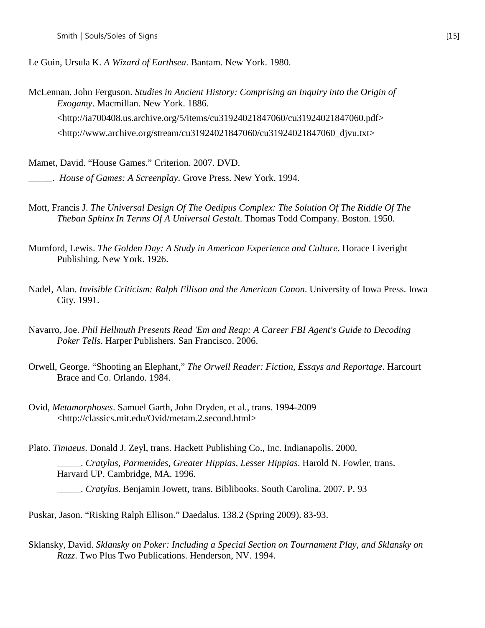Le Guin, Ursula K. *A Wizard of Earthsea*. Bantam. New York. 1980.

McLennan, John Ferguson. *Studies in Ancient History: Comprising an Inquiry into the Origin of Exogamy*. Macmillan. New York. 1886. <http://ia700408.us.archive.org/5/items/cu31924021847060/cu31924021847060.pdf> <http://www.archive.org/stream/cu31924021847060/cu31924021847060\_djvu.txt>

Mamet, David. "House Games." Criterion. 2007. DVD.

\_\_\_\_\_. *House of Games: A Screenplay*. Grove Press. New York. 1994.

- Mott, Francis J. *The Universal Design Of The Oedipus Complex: The Solution Of The Riddle Of The Theban Sphinx In Terms Of A Universal Gestalt*. Thomas Todd Company. Boston. 1950.
- Mumford, Lewis. *The Golden Day: A Study in American Experience and Culture*. Horace Liveright Publishing. New York. 1926.
- Nadel, Alan. *Invisible Criticism: Ralph Ellison and the American Canon*. University of Iowa Press. Iowa City. 1991.
- Navarro, Joe. *Phil Hellmuth Presents Read 'Em and Reap: A Career FBI Agent's Guide to Decoding Poker Tells*. Harper Publishers. San Francisco. 2006.
- Orwell, George. "Shooting an Elephant," *The Orwell Reader: Fiction, Essays and Reportage*. Harcourt Brace and Co. Orlando. 1984.
- Ovid, *Metamorphoses*. Samuel Garth, John Dryden, et al., trans. 1994-2009 <http://classics.mit.edu/Ovid/metam.2.second.html>

Plato. *Timaeus*. Donald J. Zeyl, trans. Hackett Publishing Co., Inc. Indianapolis. 2000. \_\_\_\_\_. *Cratylus, Parmenides, Greater Hippias, Lesser Hippias*. Harold N. Fowler, trans. Harvard UP. Cambridge, MA. 1996. \_\_\_\_\_. *Cratylus*. Benjamin Jowett, trans. Biblibooks. South Carolina. 2007. P. 93

Puskar, Jason. "Risking Ralph Ellison." Daedalus. 138.2 (Spring 2009). 83-93.

Sklansky, David. *Sklansky on Poker: Including a Special Section on Tournament Play, and Sklansky on Razz*. Two Plus Two Publications. Henderson, NV. 1994.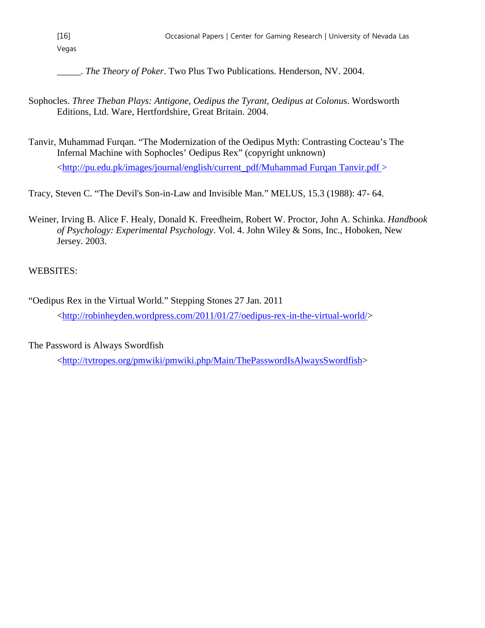Vegas

\_\_\_\_\_. *The Theory of Poker*. Two Plus Two Publications. Henderson, NV. 2004.

- Sophocles. *Three Theban Plays: Antigone, Oedipus the Tyrant, Oedipus at Colonu*s. Wordsworth Editions, Ltd. Ware, Hertfordshire, Great Britain. 2004.
- Tanvir, Muhammad Furqan. "The Modernization of the Oedipus Myth: Contrasting Cocteau's The Infernal Machine with Sophocles' Oedipus Rex" (copyright unknown) [<http://pu.edu.pk/images/journal/english/current\\_pdf/Muhammad Furqan Tanvir.pdf](http://pu.edu.pk/images/journal/english/current_pdf/Muhammad%20Furqan%20Tanvir.pdf) >

Tracy, Steven C. "The Devil's Son-in-Law and Invisible Man." MELUS, 15.3 (1988): 47- 64.

Weiner, Irving B. Alice F. Healy, Donald K. Freedheim, Robert W. Proctor, John A. Schinka. *Handbook of Psychology: Experimental Psychology*. Vol. 4. John Wiley & Sons, Inc., Hoboken, New Jersey. 2003.

## WEBSITES:

"Oedipus Rex in the Virtual World." Stepping Stones 27 Jan. 2011 [<http://robinheyden.wordpress.com/2011/01/27/oedipus-rex-in-the-virtual-world/>](http://robinheyden.wordpress.com/2011/01/27/oedipus-rex-in-the-virtual-world/)

The Password is Always Swordfish

[<http://tvtropes.org/pmwiki/pmwiki.php/Main/ThePasswordIsAlwaysSwordfish>](http://tvtropes.org/pmwiki/pmwiki.php/Main/ThePasswordIsAlwaysSwordfish)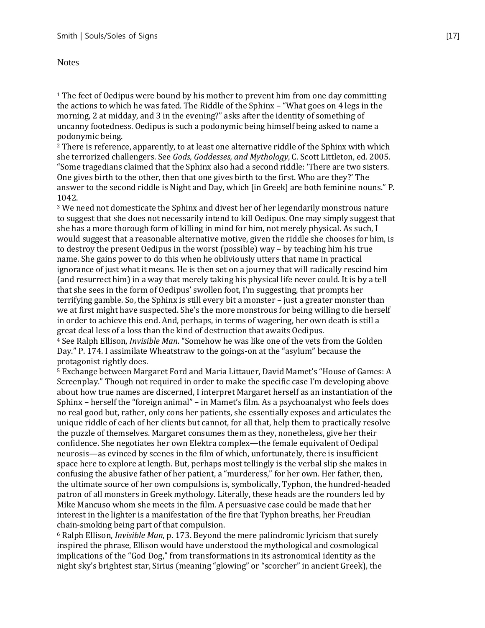#### **Notes**

<sup>1</sup> The feet of Oedipus were bound by his mother to prevent him from one day committing the actions to which he was fated. The Riddle of the Sphinx – "What goes on 4 legs in the morning, 2 at midday, and 3 in the evening?" asks after the identity of something of uncanny footedness. Oedipus is such a podonymic being himself being asked to name a podonymic being.

<sup>2</sup> There is reference, apparently, to at least one alternative riddle of the Sphinx with which she terrorized challengers. See *Gods, Goddesses, and Mythology*, C. Scott Littleton, ed. 2005. "Some tragedians claimed that the Sphinx also had a second riddle: 'There are two sisters. One gives birth to the other, then that one gives birth to the first. Who are they?' The answer to the second riddle is Night and Day, which [in Greek] are both feminine nouns." P. 1042.

<sup>3</sup> We need not domesticate the Sphinx and divest her of her legendarily monstrous nature to suggest that she does not necessarily intend to kill Oedipus. One may simply suggest that she has a more thorough form of killing in mind for him, not merely physical. As such, I would suggest that a reasonable alternative motive, given the riddle she chooses for him, is to destroy the present Oedipus in the worst (possible) way – by teaching him his true name. She gains power to do this when he obliviously utters that name in practical ignorance of just what it means. He is then set on a journey that will radically rescind him (and resurrect him) in a way that merely taking his physical life never could. It is by a tell that she sees in the form of Oedipus' swollen foot, I'm suggesting, that prompts her terrifying gamble. So, the Sphinx is still every bit a monster – just a greater monster than we at first might have suspected. She's the more monstrous for being willing to die herself in order to achieve this end. And, perhaps, in terms of wagering, her own death is still a great deal less of a loss than the kind of destruction that awaits Oedipus.

<sup>4</sup> See Ralph Ellison, *Invisible Man*. "Somehow he was like one of the vets from the Golden Day." P. 174. I assimilate Wheatstraw to the goings-on at the "asylum" because the protagonist rightly does.

<sup>5</sup> Exchange between Margaret Ford and Maria Littauer, David Mamet's "House of Games: A Screenplay." Though not required in order to make the specific case I'm developing above about how true names are discerned, I interpret Margaret herself as an instantiation of the Sphinx – herself the "foreign animal" – in Mamet's film. As a psychoanalyst who feels does no real good but, rather, only cons her patients, she essentially exposes and articulates the unique riddle of each of her clients but cannot, for all that, help them to practically resolve the puzzle of themselves. Margaret consumes them as they, nonetheless, give her their confidence. She negotiates her own Elektra complex—the female equivalent of Oedipal neurosis—as evinced by scenes in the film of which, unfortunately, there is insufficient space here to explore at length. But, perhaps most tellingly is the verbal slip she makes in confusing the abusive father of her patient, a "murderess," for her own. Her father, then, the ultimate source of her own compulsions is, symbolically, Typhon, the hundred-headed patron of all monsters in Greek mythology. Literally, these heads are the rounders led by Mike Mancuso whom she meets in the film. A persuasive case could be made that her interest in the lighter is a manifestation of the fire that Typhon breaths, her Freudian chain-smoking being part of that compulsion.

<sup>6</sup> Ralph Ellison, *Invisible Man*, p. 173. Beyond the mere palindromic lyricism that surely inspired the phrase, Ellison would have understood the mythological and cosmological implications of the "God Dog," from transformations in its astronomical identity as the night sky's brightest star, Sirius (meaning "glowing" or "scorcher" in ancient Greek), the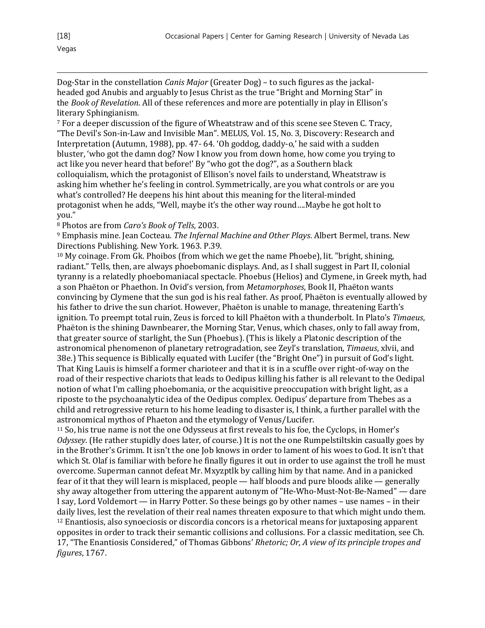i<br>I Dog-Star in the constellation *Canis Major* (Greater Dog) – to such figures as the jackalheaded god Anubis and arguably to Jesus Christ as the true "Bright and Morning Star" in the *Book of Revelation*. All of these references and more are potentially in play in Ellison's literary Sphingianism.

<sup>7</sup> For a deeper discussion of the figure of Wheatstraw and of this scene see Steven C. Tracy, "The Devil's Son-in-Law and Invisible Man". MELUS, Vol. 15, No. 3, Discovery: Research and Interpretation (Autumn, 1988), pp. 47- 64. 'Oh goddog, daddy-o,' he said with a sudden bluster, 'who got the damn dog? Now I know you from down home, how come you trying to act like you never heard that before!' By "who got the dog?", as a Southern black colloquialism, which the protagonist of Ellison's novel fails to understand, Wheatstraw is asking him whether he's feeling in control. Symmetrically, are you what controls or are you what's controlled? He deepens his hint about this meaning for the literal-minded protagonist when he adds, "Well, maybe it's the other way round….Maybe he got holt to you."

<sup>8</sup> Photos are from *Caro's Book of Tells*, 2003.

<sup>9</sup> Emphasis mine. Jean Cocteau. *The Infernal Machine and Other Plays*. Albert Bermel, trans. New Directions Publishing. New York. 1963. P.39.

<sup>10</sup> My coinage. From Gk. Phoibos (from which we get the name Phoebe), lit. "bright, shining, radiant." Tells, then, are always phoebomanic displays. And, as I shall suggest in Part II, colonial tyranny is a relatedly phoebomaniacal spectacle. Phoebus (Helios) and Clymene, in Greek myth, had a son Phaëton or Phaethon. In Ovid's version, from *Metamorphoses*, Book II, Phaëton wants convincing by Clymene that the sun god is his real father. As proof, Phaëton is eventually allowed by his father to drive the sun chariot. However, Phaëton is unable to manage, threatening Earth's ignition. To preempt total ruin, Zeus is forced to kill Phaëton with a thunderbolt. In Plato's *Timaeus*, Phaëton is the shining Dawnbearer, the Morning Star, Venus, which chases, only to fall away from, that greater source of starlight, the Sun (Phoebus). (This is likely a Platonic description of the astronomical phenomenon of planetary retrogradation, see Zeyl's translation, *Timaeus*, xlvii, and 38e.) This sequence is Biblically equated with Lucifer (the "Bright One") in pursuit of God's light. That King Lauis is himself a former charioteer and that it is in a scuffle over right-of-way on the road of their respective chariots that leads to Oedipus killing his father is all relevant to the Oedipal notion of what I'm calling phoebomania, or the acquisitive preoccupation with bright light, as a riposte to the psychoanalytic idea of the Oedipus complex. Oedipus' departure from Thebes as a child and retrogressive return to his home leading to disaster is, I think, a further parallel with the astronomical mythos of Phaeton and the etymology of Venus/Lucifer.

<sup>11</sup> So, his true name is not the one Odysseus at first reveals to his foe, the Cyclops, in Homer's *Odyssey*. (He rather stupidly does later, of course.) It is not the one Rumpelstiltskin casually goes by in the Brother's Grimm. It isn't the one Job knows in order to lament of his woes to God. It isn't that which St. Olaf is familiar with before he finally figures it out in order to use against the troll he must overcome. Superman cannot defeat Mr. Mxyzptlk by calling him by that name. And in a panicked fear of it that they will learn is misplaced, people — half bloods and pure bloods alike — generally shy away altogether from uttering the apparent autonym of "He-Who-Must-Not-Be-Named" — dare I say, Lord Voldemort — in Harry Potter. So these beings go by other names – use names – in their daily lives, lest the revelation of their real names threaten exposure to that which might undo them. <sup>12</sup> Enantiosis, also synoeciosis or discordia concors is a rhetorical means for juxtaposing apparent opposites in order to track their semantic collisions and collusions. For a classic meditation, see Ch. 17, "The Enantiosis Considered," of Thomas Gibbons' *Rhetoric; Or, A view of its principle tropes and figures*, 1767.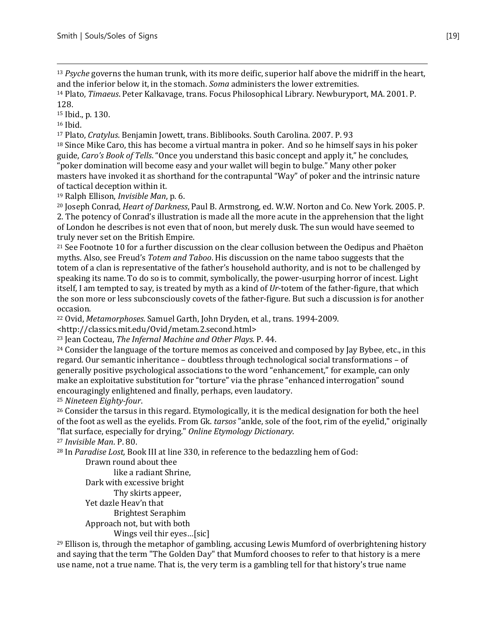13 *Psyche* governs the human trunk, with its more deific, superior half above the midriff in the heart, and the inferior below it, in the stomach. *Soma* administers the lower extremities.

<span id="page-18-0"></span><sup>14</sup> Plato, *Timaeus*. Peter Kalkavage, trans. Focus Philosophical Library. Newburyport, MA. 2001. P. 128.

<sup>15</sup> Ibid., p. 130.

<sup>16</sup> Ibid.

<sup>17</sup> Plato, *Cratylus*. Benjamin Jowett, trans. Biblibooks. South Carolina. 2007. P. 93

<span id="page-18-1"></span><sup>18</sup> Since Mike Caro, this has become a virtual mantra in poker. And so he himself says in his poker guide, *Caro's Book of Tells*. "Once you understand this basic concept and apply it," he concludes, "poker domination will become easy and your wallet will begin to bulge." Many other poker masters have invoked it as shorthand for the contrapuntal "Way" of poker and the intrinsic nature of tactical deception within it.

<sup>19</sup> Ralph Ellison, *Invisible Man*, p. 6.

<sup>20</sup> Joseph Conrad, *Heart of Darkness*, Paul B. Armstrong, ed. W.W. Norton and Co. New York. 2005. P. 2. The potency of Conrad's illustration is made all the more acute in the apprehension that the light of London he describes is not even that of noon, but merely dusk. The sun would have seemed to truly never set on the British Empire.

<sup>21</sup> See Footnote 10 for a further discussion on the clear collusion between the Oedipus and Phaëton myths. Also, see Freud's *Totem and Taboo*. His discussion on the name taboo suggests that the totem of a clan is representative of the father's household authority, and is not to be challenged by speaking its name. To do so is to commit, symbolically, the power-usurping horror of incest. Light itself, I am tempted to say, is treated by myth as a kind of *Ur*-totem of the father-figure, that which the son more or less subconsciously covets of the father-figure. But such a discussion is for another occasion.

<sup>22</sup> Ovid, *Metamorphoses*. Samuel Garth, John Dryden, et al., trans. 1994-2009.

<http://classics.mit.edu/Ovid/metam.2.second.html>

<sup>23</sup> Jean Cocteau, *The Infernal Machine and Other Plays*. P. 44.

<sup>24</sup> Consider the language of the torture memos as conceived and composed by Jay Bybee, etc., in this regard. Our semantic inheritance – doubtless through technological social transformations – of generally positive psychological associations to the word "enhancement," for example, can only make an exploitative substitution for "torture" via the phrase "enhanced interrogation" sound encouragingly enlightened and finally, perhaps, even laudatory.<br><sup>25</sup> Nineteen Eighty-four.

<sup>26</sup> Consider the tarsus in this regard. Etymologically, it is the medical designation for both the heel of the foot as well as the eyelids. From Gk. *tarsos* "ankle, sole of the foot, rim of the eyelid," originally "flat surface, especially for drying." *Online Etymology Dictionary*.

<sup>27</sup> *Invisible Man*. P. 80.

<sup>28</sup> In *Paradise Lost,* Book III at line 330, in reference to the bedazzling hem of God:

Drawn round about thee like a radiant Shrine, Dark with excessive bright Thy skirts appeer, Yet dazle Heav'n that Brightest Seraphim Approach not, but with both Wings veil thir eyes…[sic]

<sup>29</sup> Ellison is, through the metaphor of gambling, accusing Lewis Mumford of overbrightening history and saying that the term "The Golden Day" that Mumford chooses to refer to that history is a mere use name, not a true name. That is, the very term is a gambling tell for that history's true name